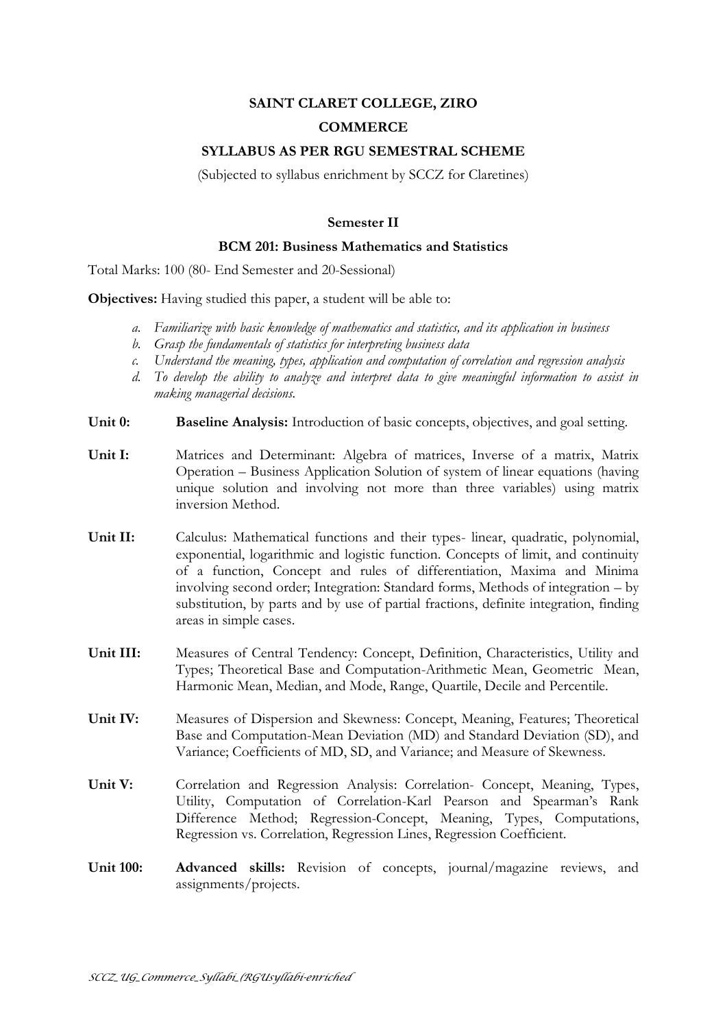# **SAINT CLARET COLLEGE, ZIRO COMMERCE**

## **SYLLABUS AS PER RGU SEMESTRAL SCHEME**

(Subjected to syllabus enrichment by SCCZ for Claretines)

## **Semester II**

#### **BCM 201: Business Mathematics and Statistics**

Total Marks: 100 (80- End Semester and 20-Sessional)

**Objectives:** Having studied this paper, a student will be able to:

- *a. Familiarize with basic knowledge of mathematics and statistics, and its application in business*
- *b. Grasp the fundamentals of statistics for interpreting business data*
- *c. Understand the meaning, types, application and computation of correlation and regression analysis*
- *d. To develop the ability to analyze and interpret data to give meaningful information to assist in making managerial decisions.*
- **Unit 0: Baseline Analysis:** Introduction of basic concepts, objectives, and goal setting.
- **Unit I:** Matrices and Determinant: Algebra of matrices, Inverse of a matrix, Matrix Operation – Business Application Solution of system of linear equations (having unique solution and involving not more than three variables) using matrix inversion Method.
- **Unit II:** Calculus: Mathematical functions and their types- linear, quadratic, polynomial, exponential, logarithmic and logistic function. Concepts of limit, and continuity of a function, Concept and rules of differentiation, Maxima and Minima involving second order; Integration: Standard forms, Methods of integration – by substitution, by parts and by use of partial fractions, definite integration, finding areas in simple cases.
- **Unit III:** Measures of Central Tendency: Concept, Definition, Characteristics, Utility and Types; Theoretical Base and Computation-Arithmetic Mean, Geometric Mean, Harmonic Mean, Median, and Mode, Range, Quartile, Decile and Percentile.
- **Unit IV:** Measures of Dispersion and Skewness: Concept, Meaning, Features; Theoretical Base and Computation-Mean Deviation (MD) and Standard Deviation (SD), and Variance; Coefficients of MD, SD, and Variance; and Measure of Skewness.
- **Unit V:** Correlation and Regression Analysis: Correlation- Concept, Meaning, Types, Utility, Computation of Correlation-Karl Pearson and Spearman's Rank Difference Method; Regression-Concept, Meaning, Types, Computations, Regression vs. Correlation, Regression Lines, Regression Coefficient.
- **Unit 100: Advanced skills:** Revision of concepts, journal/magazine reviews, and assignments/projects.